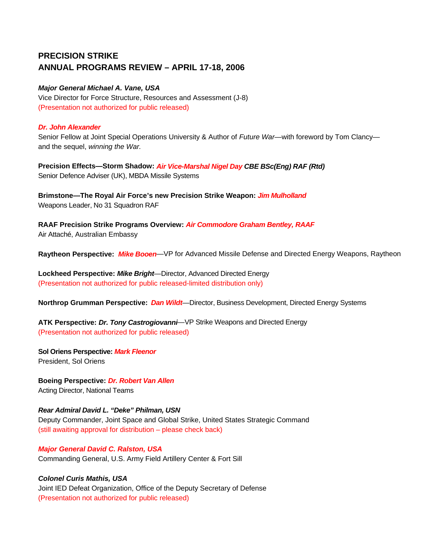# **PRECISION STRIKE ANNUAL PROGRAMS REVIEW – APRIL 17-18, 2006**

## *Major General Michael A. Vane, USA*

Vice Director for Force Structure, Resources and Assessment (J-8) (Presentation not authorized for public released)

#### *Dr. John Alexander*

Senior Fellow at Joint Special Operations University & Author of *Future War*—with foreword by Tom Clancy and the sequel, *winning the War.* 

**Precision Effects—Storm Shadow:** *Air Vice-Marshal Nigel Day CBE BSc(Eng) RAF (Rtd)* Senior Defence Adviser (UK), MBDA Missile Systems

**Brimstone—The Royal Air Force's new Precision Strike Weapon:** *Jim Mulholland* Weapons Leader, No 31 Squadron RAF

**RAAF Precision Strike Programs Overview:** *Air Commodore Graham Bentley, RAAF*  Air Attaché, Australian Embassy

**Raytheon Perspective:** *Mike Booen*—VP for Advanced Missile Defense and Directed Energy Weapons, Raytheon

**Lockheed Perspective:** *Mike Bright*—Director, Advanced Directed Energy (Presentation not authorized for public released-limited distribution only)

**Northrop Grumman Perspective:** *Dan Wildt*—Director, Business Development, Directed Energy Systems

**ATK Perspective:** *Dr. Tony Castrogiovanni*—VP Strike Weapons and Directed Energy (Presentation not authorized for public released)

**Sol Oriens Perspective:** *Mark Fleenor* President, Sol Oriens

**Boeing Perspective:** *Dr. Robert Van Allen*  Acting Director, National Teams

*Rear Admiral David L. "Deke" Philman, USN*  Deputy Commander, Joint Space and Global Strike, United States Strategic Command (still awaiting approval for distribution – please check back)

*Major General David C. Ralston, USA*  Commanding General, U.S. Army Field Artillery Center & Fort Sill

*Colonel Curis Mathis, USA*  Joint IED Defeat Organization, Office of the Deputy Secretary of Defense (Presentation not authorized for public released)